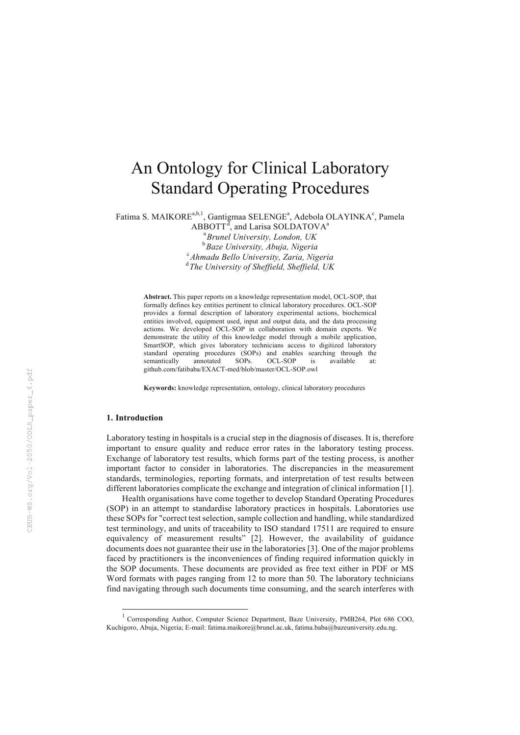# An Ontology for Clinical Laboratory Standard Operating Procedures

Fatima S. MAIKORE<sup>a,b,1</sup>, Gantigmaa SELENGE<sup>a</sup>, Adebola OLAYINKA<sup>c</sup>, Pamela

 $ABBOTT^d$ , and Larisa SOLDATOVA<sup>a</sup> a *Brunel University, London, UK*  <sup>b</sup> Baze University, Abuja, Nigeria<br><sup>c</sup> Abrachy Pollo University, Zaria, Nig *Ahmadu Bello University, Zaria, Nigeria*  d *The University of Sheffield, Sheffield, UK* 

**Abstract.** This paper reports on a knowledge representation model, OCL-SOP, that formally defines key entities pertinent to clinical laboratory procedures. OCL-SOP provides a formal description of laboratory experimental actions, biochemical entities involved, equipment used, input and output data, and the data processing actions. We developed OCL-SOP in collaboration with domain experts. We demonstrate the utility of this knowledge model through a mobile application, SmartSOP, which gives laboratory technicians access to digitized laboratory standard operating procedures (SOPs) and enables searching through the<br>semantically annotated SOPs OCL-SOP is available at: semantically annotated SOPs. OCL-SOP is available at: github.com/fatibaba/EXACT-med/blob/master/OCL-SOP.owl

**Keywords:** knowledge representation, ontology, clinical laboratory procedures

# **1. Introduction**

l

Laboratory testing in hospitals is a crucial step in the diagnosis of diseases. It is, therefore important to ensure quality and reduce error rates in the laboratory testing process. Exchange of laboratory test results, which forms part of the testing process, is another important factor to consider in laboratories. The discrepancies in the measurement standards, terminologies, reporting formats, and interpretation of test results between different laboratories complicate the exchange and integration of clinical information [1].

Health organisations have come together to develop Standard Operating Procedures (SOP) in an attempt to standardise laboratory practices in hospitals. Laboratories use these SOPs for "correct test selection, sample collection and handling, while standardized test terminology, and units of traceability to ISO standard 17511 are required to ensure equivalency of measurement results" [2]. However, the availability of guidance documents does not guarantee their use in the laboratories [3]. One of the major problems faced by practitioners is the inconveniences of finding required information quickly in the SOP documents. These documents are provided as free text either in PDF or MS Word formats with pages ranging from 12 to more than 50. The laboratory technicians find navigating through such documents time consuming, and the search interferes with

<sup>&</sup>lt;sup>1</sup> Corresponding Author, Computer Science Department, Baze University, PMB264, Plot 686 COO, Kuchigoro, Abuja, Nigeria; E-mail: fatima.maikore@brunel.ac.uk, fatima.baba@bazeuniversity.edu.ng.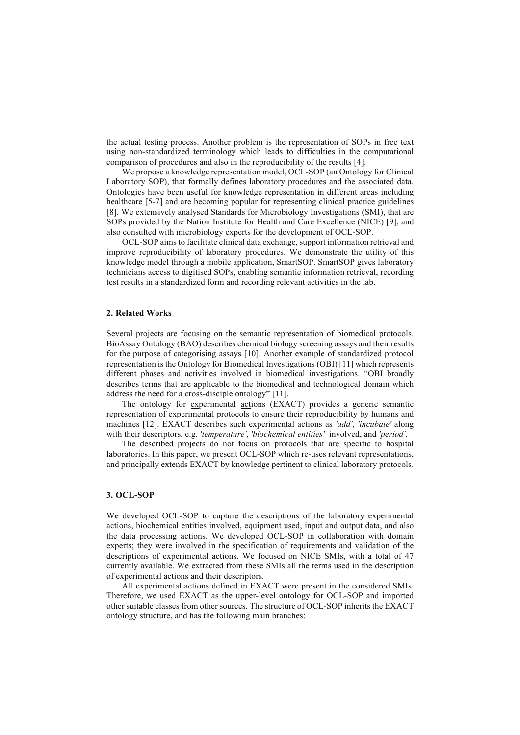the actual testing process. Another problem is the representation of SOPs in free text using non-standardized terminology which leads to difficulties in the computational comparison of procedures and also in the reproducibility of the results [4].

We propose a knowledge representation model, OCL-SOP (an Ontology for Clinical Laboratory SOP), that formally defines laboratory procedures and the associated data. Ontologies have been useful for knowledge representation in different areas including healthcare [5-7] and are becoming popular for representing clinical practice guidelines [8]. We extensively analysed Standards for Microbiology Investigations (SMI), that are SOPs provided by the Nation Institute for Health and Care Excellence (NICE) [9], and also consulted with microbiology experts for the development of OCL-SOP.

OCL-SOP aims to facilitate clinical data exchange, support information retrieval and improve reproducibility of laboratory procedures. We demonstrate the utility of this knowledge model through a mobile application, SmartSOP. SmartSOP gives laboratory technicians access to digitised SOPs, enabling semantic information retrieval, recording test results in a standardized form and recording relevant activities in the lab.

## **2. Related Works**

Several projects are focusing on the semantic representation of biomedical protocols. BioAssay Ontology (BAO) describes chemical biology screening assays and their results for the purpose of categorising assays [10]. Another example of standardized protocol representation is the Ontology for Biomedical Investigations (OBI) [11] which represents different phases and activities involved in biomedical investigations. "OBI broadly describes terms that are applicable to the biomedical and technological domain which address the need for a cross-disciple ontology" [11].

The ontology for experimental actions (EXACT) provides a generic semantic representation of experimental protocols to ensure their reproducibility by humans and machines [12]. EXACT describes such experimental actions as *'add'*, *'incubate'* along with their descriptors, e.g. *'temperature'*, *'biochemical entities'* involved, and *'period'*.

The described projects do not focus on protocols that are specific to hospital laboratories. In this paper, we present OCL-SOP which re-uses relevant representations, and principally extends EXACT by knowledge pertinent to clinical laboratory protocols.

# **3. OCL-SOP**

We developed OCL-SOP to capture the descriptions of the laboratory experimental actions, biochemical entities involved, equipment used, input and output data, and also the data processing actions. We developed OCL-SOP in collaboration with domain experts; they were involved in the specification of requirements and validation of the descriptions of experimental actions. We focused on NICE SMIs, with a total of 47 currently available. We extracted from these SMIs all the terms used in the description of experimental actions and their descriptors.

All experimental actions defined in EXACT were present in the considered SMIs. Therefore, we used EXACT as the upper-level ontology for OCL-SOP and imported other suitable classes from other sources. The structure of OCL-SOP inherits the EXACT ontology structure, and has the following main branches: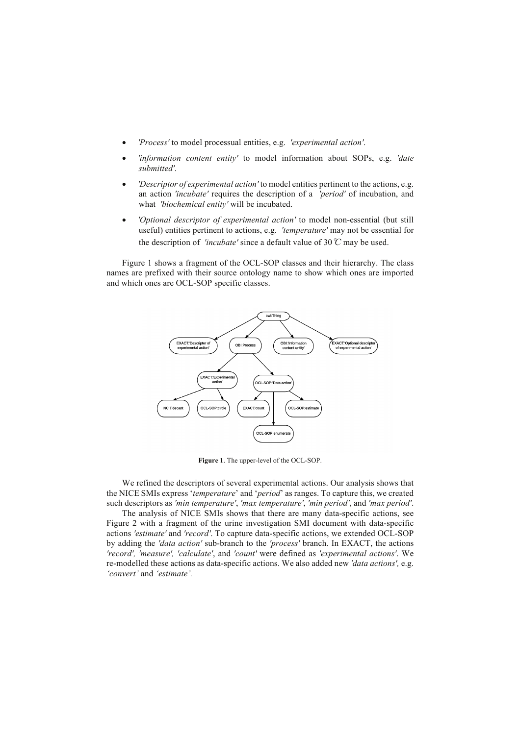- *'Process'* to model processual entities, e.g. *'experimental action'*.
- *'information content entity'* to model information about SOPs, e.g. *'date submitted'*.
- *'Descriptor of experimental action'* to model entities pertinent to the actions, e.g. an action *'incubate'* requires the description of a *'period'* of incubation, and what *'biochemical entity'* will be incubated.
- *'Optional descriptor of experimental action'* to model non-essential (but still useful) entities pertinent to actions, e.g. *'temperature'* may not be essential for the description of *'incubate'* since a default value of 30  $\degree$ C may be used.

Figure 1 shows a fragment of the OCL-SOP classes and their hierarchy. The class names are prefixed with their source ontology name to show which ones are imported and which ones are OCL-SOP specific classes.



**Figure 1**. The upper-level of the OCL-SOP.

We refined the descriptors of several experimental actions. Our analysis shows that the NICE SMIs express '*temperature*' and '*period*' as ranges. To capture this, we created such descriptors as *'min temperature'*, *'max temperature'*, *'min period'*, and *'max period'*.

The analysis of NICE SMIs shows that there are many data-specific actions, see Figure 2 with a fragment of the urine investigation SMI document with data-specific actions *'estimate'* and *'record'*. To capture data-specific actions, we extended OCL-SOP by adding the *'data action'* sub-branch to the *'process'* branch. In EXACT, the actions *'record', 'measure', 'calculate'*, and *'count'* were defined as *'experimental actions'*. We re-modelled these actions as data-specific actions. We also added new *'data actions',* e.g. *'convert'* and *'estimate'.*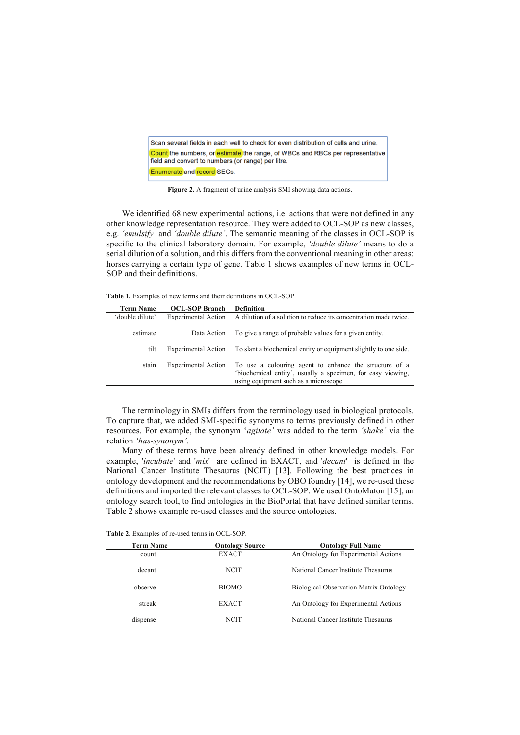Scan several fields in each well to check for even distribution of cells and urine. Count the numbers, or estimate the range, of WBCs and RBCs per representative field and convert to numbers (or range) per litre. Enumerate and record SECs.

**Figure 2.** A fragment of urine analysis SMI showing data actions.

We identified 68 new experimental actions, i.e. actions that were not defined in any other knowledge representation resource. They were added to OCL-SOP as new classes, e.g. *'emulsify'* and *'double dilute'*. The semantic meaning of the classes in OCL-SOP is specific to the clinical laboratory domain. For example, *'double dilute'* means to do a serial dilution of a solution, and this differs from the conventional meaning in other areas: horses carrying a certain type of gene. Table 1 shows examples of new terms in OCL-SOP and their definitions.

**Table 1.** Examples of new terms and their definitions in OCL-SOP.

| <b>Term Name</b> | <b>OCL-SOP Branch</b>      | <b>Definition</b>                                                                                                                                             |
|------------------|----------------------------|---------------------------------------------------------------------------------------------------------------------------------------------------------------|
| 'double dilute'  | <b>Experimental Action</b> | A dilution of a solution to reduce its concentration made twice.                                                                                              |
| estimate         | Data Action                | To give a range of probable values for a given entity.                                                                                                        |
| tilt             | <b>Experimental Action</b> | To slant a biochemical entity or equipment slightly to one side.                                                                                              |
| stain            | <b>Experimental Action</b> | To use a colouring agent to enhance the structure of a<br>'biochemical entity', usually a specimen, for easy viewing,<br>using equipment such as a microscope |

The terminology in SMIs differs from the terminology used in biological protocols. To capture that, we added SMI-specific synonyms to terms previously defined in other resources. For example, the synonym '*agitate'* was added to the term *'shake'* via the relation *'has-synonym'*.

Many of these terms have been already defined in other knowledge models. For example, '*incubate*' and '*mix*' are defined in EXACT, and '*decant*' is defined in the National Cancer Institute Thesaurus (NCIT) [13]. Following the best practices in ontology development and the recommendations by OBO foundry [14], we re-used these definitions and imported the relevant classes to OCL-SOP. We used OntoMaton [15], an ontology search tool, to find ontologies in the BioPortal that have defined similar terms. Table 2 shows example re-used classes and the source ontologies.

**Table 2.** Examples of re-used terms in OCL-SOP.

| <b>Term Name</b> | <b>Ontology Source</b> | <b>Ontology Full Name</b>                     |
|------------------|------------------------|-----------------------------------------------|
| count            | <b>EXACT</b>           | An Ontology for Experimental Actions          |
| decant           | <b>NCIT</b>            | National Cancer Institute Thesaurus           |
| observe          | <b>BIOMO</b>           | <b>Biological Observation Matrix Ontology</b> |
| streak           | <b>EXACT</b>           | An Ontology for Experimental Actions          |
| dispense         | NCIT                   | National Cancer Institute Thesaurus           |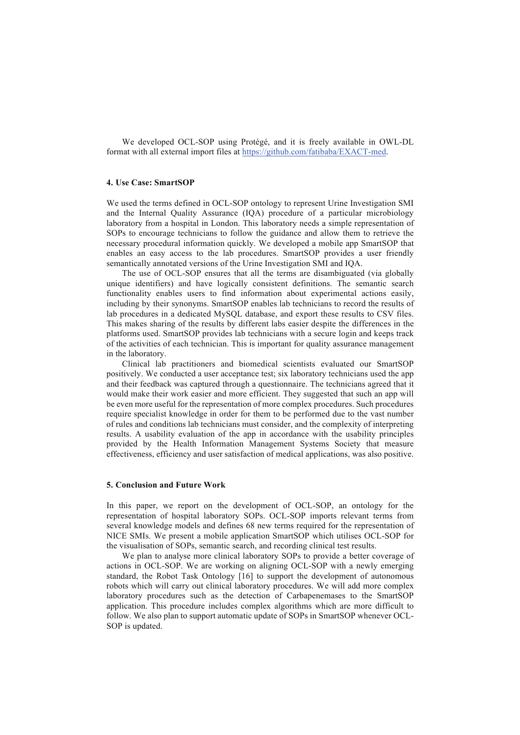We developed OCL-SOP using Protégé, and it is freely available in OWL-DL format with all external import files at https://github.com/fatibaba/EXACT-med.

# **4. Use Case: SmartSOP**

We used the terms defined in OCL-SOP ontology to represent Urine Investigation SMI and the Internal Quality Assurance (IQA) procedure of a particular microbiology laboratory from a hospital in London. This laboratory needs a simple representation of SOPs to encourage technicians to follow the guidance and allow them to retrieve the necessary procedural information quickly. We developed a mobile app SmartSOP that enables an easy access to the lab procedures. SmartSOP provides a user friendly semantically annotated versions of the Urine Investigation SMI and IQA.

The use of OCL-SOP ensures that all the terms are disambiguated (via globally unique identifiers) and have logically consistent definitions. The semantic search functionality enables users to find information about experimental actions easily, including by their synonyms. SmartSOP enables lab technicians to record the results of lab procedures in a dedicated MySQL database, and export these results to CSV files. This makes sharing of the results by different labs easier despite the differences in the platforms used. SmartSOP provides lab technicians with a secure login and keeps track of the activities of each technician. This is important for quality assurance management in the laboratory.

Clinical lab practitioners and biomedical scientists evaluated our SmartSOP positively. We conducted a user acceptance test; six laboratory technicians used the app and their feedback was captured through a questionnaire. The technicians agreed that it would make their work easier and more efficient. They suggested that such an app will be even more useful for the representation of more complex procedures. Such procedures require specialist knowledge in order for them to be performed due to the vast number of rules and conditions lab technicians must consider, and the complexity of interpreting results. A usability evaluation of the app in accordance with the usability principles provided by the Health Information Management Systems Society that measure effectiveness, efficiency and user satisfaction of medical applications, was also positive.

#### **5. Conclusion and Future Work**

In this paper, we report on the development of OCL-SOP, an ontology for the representation of hospital laboratory SOPs. OCL-SOP imports relevant terms from several knowledge models and defines 68 new terms required for the representation of NICE SMIs. We present a mobile application SmartSOP which utilises OCL-SOP for the visualisation of SOPs, semantic search, and recording clinical test results.

We plan to analyse more clinical laboratory SOPs to provide a better coverage of actions in OCL-SOP. We are working on aligning OCL-SOP with a newly emerging standard, the Robot Task Ontology [16] to support the development of autonomous robots which will carry out clinical laboratory procedures. We will add more complex laboratory procedures such as the detection of Carbapenemases to the SmartSOP application. This procedure includes complex algorithms which are more difficult to follow. We also plan to support automatic update of SOPs in SmartSOP whenever OCL-SOP is updated.